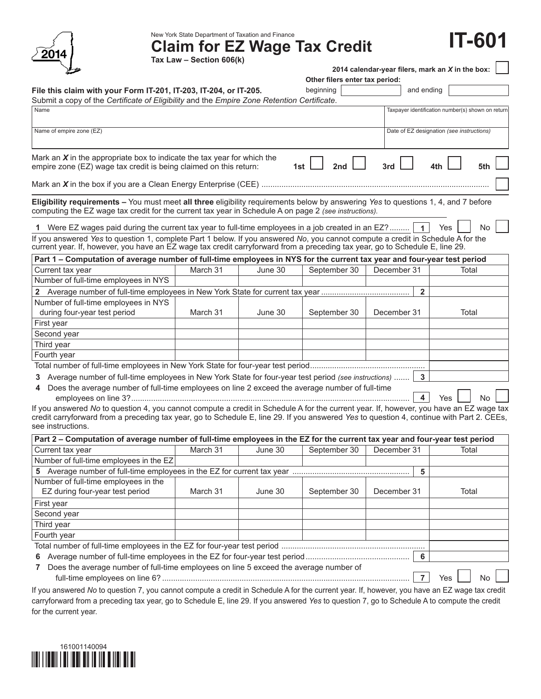| 2014                                                                                                                                                                                                                                                                                                    | Tax Law - Section 606(k) | New York State Department of Taxation and Finance<br><b>Claim for EZ Wage Tax Credit</b> |                                             |                | IT-601                                            |
|---------------------------------------------------------------------------------------------------------------------------------------------------------------------------------------------------------------------------------------------------------------------------------------------------------|--------------------------|------------------------------------------------------------------------------------------|---------------------------------------------|----------------|---------------------------------------------------|
|                                                                                                                                                                                                                                                                                                         |                          |                                                                                          |                                             |                | 2014 calendar-year filers, mark an X in the box:  |
| File this claim with your Form IT-201, IT-203, IT-204, or IT-205.                                                                                                                                                                                                                                       |                          |                                                                                          | Other filers enter tax period:<br>beginning |                | and ending                                        |
| Submit a copy of the Certificate of Eligibility and the Empire Zone Retention Certificate.                                                                                                                                                                                                              |                          |                                                                                          |                                             |                |                                                   |
| Name                                                                                                                                                                                                                                                                                                    |                          |                                                                                          |                                             |                | Taxpayer identification number(s) shown on return |
|                                                                                                                                                                                                                                                                                                         |                          |                                                                                          |                                             |                |                                                   |
| Name of empire zone (EZ)                                                                                                                                                                                                                                                                                |                          |                                                                                          |                                             |                | Date of EZ designation (see instructions)         |
| Mark an $X$ in the appropriate box to indicate the tax year for which the<br>empire zone (EZ) wage tax credit is being claimed on this return:                                                                                                                                                          |                          | 1st                                                                                      | 2nd                                         | 3rd            |                                                   |
|                                                                                                                                                                                                                                                                                                         |                          |                                                                                          |                                             |                |                                                   |
| Eligibility requirements - You must meet all three eligibility requirements below by answering Yes to questions 1, 4, and 7 before<br>computing the EZ wage tax credit for the current tax year in Schedule A on page 2 (see instructions).                                                             |                          |                                                                                          |                                             |                |                                                   |
| 1 Were EZ wages paid during the current tax year to full-time employees in a job created in an EZ?                                                                                                                                                                                                      |                          |                                                                                          |                                             |                | No<br>Yes                                         |
| If you answered Yes to question 1, complete Part 1 below. If you answered No, you cannot compute a credit in Schedule A for the<br>current year. If, however, you have an EZ wage tax credit carryforward from a preceding tax year, go to Schedule E, line 29.                                         |                          |                                                                                          |                                             |                |                                                   |
| Part 1 – Computation of average number of full-time employees in NYS for the current tax year and four-year test period                                                                                                                                                                                 |                          |                                                                                          |                                             |                |                                                   |
| Current tax year                                                                                                                                                                                                                                                                                        | March 31                 | June 30                                                                                  | September 30                                | December 31    | Total                                             |
| Number of full-time employees in NYS                                                                                                                                                                                                                                                                    |                          |                                                                                          |                                             |                |                                                   |
|                                                                                                                                                                                                                                                                                                         |                          |                                                                                          |                                             | $\overline{2}$ |                                                   |
| Number of full-time employees in NYS                                                                                                                                                                                                                                                                    |                          |                                                                                          |                                             |                |                                                   |
| during four-year test period                                                                                                                                                                                                                                                                            | March 31                 | June 30                                                                                  | September 30                                | December 31    | Total                                             |
| First year                                                                                                                                                                                                                                                                                              |                          |                                                                                          |                                             |                |                                                   |
| Second year                                                                                                                                                                                                                                                                                             |                          |                                                                                          |                                             |                |                                                   |
| Third year                                                                                                                                                                                                                                                                                              |                          |                                                                                          |                                             |                |                                                   |
| Fourth year                                                                                                                                                                                                                                                                                             |                          |                                                                                          |                                             |                |                                                   |
|                                                                                                                                                                                                                                                                                                         |                          |                                                                                          |                                             |                |                                                   |
| 3 Average number of full-time employees in New York State for four-year test period (see instructions)                                                                                                                                                                                                  |                          |                                                                                          |                                             |                |                                                   |
| 4 Does the average number of full-time employees on line 2 exceed the average number of full-time                                                                                                                                                                                                       |                          |                                                                                          |                                             |                | N٥<br>Yes                                         |
| If you answered No to question 4, you cannot compute a credit in Schedule A for the current year. If, however, you have an EZ wage tax<br>credit carryforward from a preceding tax year, go to Schedule E, line 29. If you answered Yes to question 4, continue with Part 2. CEEs,<br>see instructions. |                          |                                                                                          |                                             |                |                                                   |
| Part 2 - Computation of average number of full-time employees in the EZ for the current tax year and four-year test period                                                                                                                                                                              |                          |                                                                                          |                                             |                |                                                   |
| Current tax year                                                                                                                                                                                                                                                                                        | March 31                 | June 30                                                                                  | September 30                                | December 31    | Total                                             |
| Number of full-time employees in the EZ                                                                                                                                                                                                                                                                 |                          |                                                                                          |                                             |                |                                                   |
|                                                                                                                                                                                                                                                                                                         |                          |                                                                                          |                                             | 5              |                                                   |
| Number of full-time employees in the<br>EZ during four-year test period                                                                                                                                                                                                                                 | March 31                 | June 30                                                                                  | September 30                                | December 31    | Total                                             |
| First year                                                                                                                                                                                                                                                                                              |                          |                                                                                          |                                             |                |                                                   |
| Second year                                                                                                                                                                                                                                                                                             |                          |                                                                                          |                                             |                |                                                   |
| Third year                                                                                                                                                                                                                                                                                              |                          |                                                                                          |                                             |                |                                                   |
| Fourth year                                                                                                                                                                                                                                                                                             |                          |                                                                                          |                                             |                |                                                   |
|                                                                                                                                                                                                                                                                                                         |                          |                                                                                          |                                             |                |                                                   |
|                                                                                                                                                                                                                                                                                                         |                          |                                                                                          |                                             | 6              |                                                   |
| 7 Does the average number of full-time employees on line 5 exceed the average number of                                                                                                                                                                                                                 |                          |                                                                                          |                                             | $\overline{7}$ | Yes<br>No                                         |

If you answered *No* to question 7, you cannot compute a credit in Schedule A for the current year. If, however, you have an EZ wage tax credit carryforward from a preceding tax year, go to Schedule E, line 29. If you answered *Yes* to question 7, go to Schedule A to compute the credit for the current year.

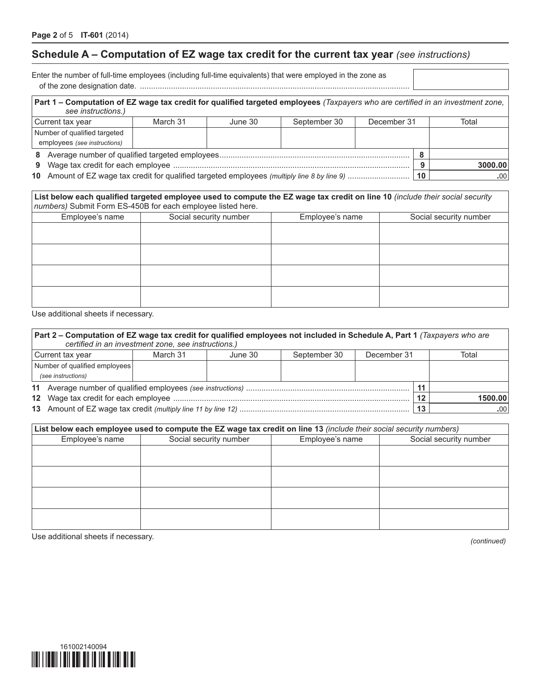# **Schedule A – Computation of EZ wage tax credit for the current tax year** *(see instructions)*

Enter the number of full-time employees (including full-time equivalents) that were employed in the zone as of the zone designation date. ..........................................................................................................................

| Part 1 - Computation of EZ wage tax credit for qualified targeted employees (Taxpayers who are certified in an investment zone,<br>see instructions.)                                                                              |          |         |              |             |  |         |
|------------------------------------------------------------------------------------------------------------------------------------------------------------------------------------------------------------------------------------|----------|---------|--------------|-------------|--|---------|
| Current tax year                                                                                                                                                                                                                   | March 31 | June 30 | September 30 | December 31 |  | Total   |
| Number of qualified targeted                                                                                                                                                                                                       |          |         |              |             |  |         |
| employees (see instructions)                                                                                                                                                                                                       |          |         |              |             |  |         |
| 8                                                                                                                                                                                                                                  |          |         |              |             |  |         |
| 9.                                                                                                                                                                                                                                 |          |         |              |             |  | 3000.00 |
| $\mathcal{A}$ and a set of the set of the set of the set of the set of the set of the set of the set of the set of the set of the set of the set of the set of the set of the set of the set of the set of the set of the set of t |          |         |              |             |  |         |

**10** Amount of EZ wage tax credit for qualified targeted employees *(multiply line 8 by line 9)* ............................ **10 .**00

| List below each qualified targeted employee used to compute the EZ wage tax credit on line 10 (include their social security |  |  |  |  |  |  |
|------------------------------------------------------------------------------------------------------------------------------|--|--|--|--|--|--|
| numbers) Submit Form ES-450B for each employee listed here.                                                                  |  |  |  |  |  |  |
|                                                                                                                              |  |  |  |  |  |  |

| Employee's name | Social security number | Employee's name | Social security number |
|-----------------|------------------------|-----------------|------------------------|
|                 |                        |                 |                        |
|                 |                        |                 |                        |
|                 |                        |                 |                        |
|                 |                        |                 |                        |
|                 |                        |                 |                        |
|                 |                        |                 |                        |
|                 |                        |                 |                        |
|                 |                        |                 |                        |
|                 |                        |                 |                        |

Use additional sheets if necessary.

| Part 2 – Computation of EZ wage tax credit for qualified employees not included in Schedule A, Part 1 <i>(Taxpayers who are</i><br>certified in an investment zone, see instructions.) |  |  |  |  |    |         |  |
|----------------------------------------------------------------------------------------------------------------------------------------------------------------------------------------|--|--|--|--|----|---------|--|
| December 31<br>September 30<br>Current tax year<br>March 31<br>June 30                                                                                                                 |  |  |  |  |    | Total   |  |
| Number of qualified employees                                                                                                                                                          |  |  |  |  |    |         |  |
| (see instructions)                                                                                                                                                                     |  |  |  |  |    |         |  |
|                                                                                                                                                                                        |  |  |  |  |    |         |  |
|                                                                                                                                                                                        |  |  |  |  |    | 1500.00 |  |
|                                                                                                                                                                                        |  |  |  |  | 13 | .00     |  |

| List below each employee used to compute the EZ wage tax credit on line 13 (include their social security numbers) |                        |                 |                        |  |  |  |  |
|--------------------------------------------------------------------------------------------------------------------|------------------------|-----------------|------------------------|--|--|--|--|
| Employee's name                                                                                                    | Social security number | Employee's name | Social security number |  |  |  |  |
|                                                                                                                    |                        |                 |                        |  |  |  |  |
|                                                                                                                    |                        |                 |                        |  |  |  |  |
|                                                                                                                    |                        |                 |                        |  |  |  |  |
|                                                                                                                    |                        |                 |                        |  |  |  |  |
|                                                                                                                    |                        |                 |                        |  |  |  |  |
|                                                                                                                    |                        |                 |                        |  |  |  |  |
|                                                                                                                    |                        |                 |                        |  |  |  |  |
|                                                                                                                    |                        |                 |                        |  |  |  |  |

Use additional sheets if necessary. *(continued)*

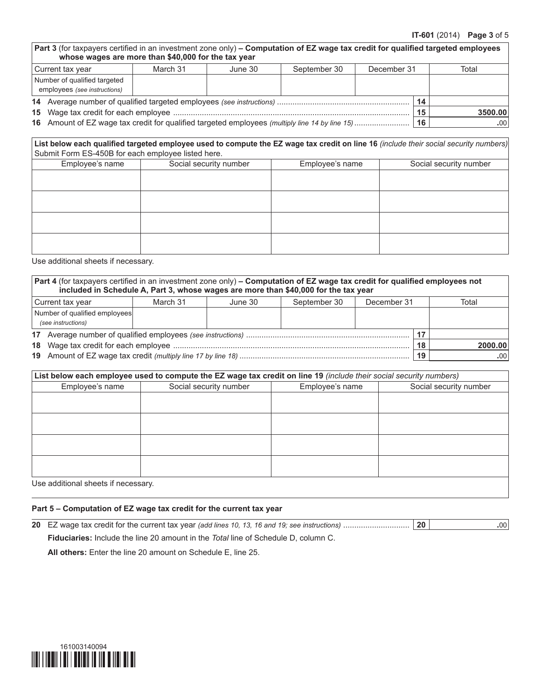| <b>Part 3</b> (for taxpayers certified in an investment zone only) – Computation of EZ wage tax credit for qualified targeted employees<br>whose wages are more than \$40,000 for the tax year |          |         |              |             |       |  |
|------------------------------------------------------------------------------------------------------------------------------------------------------------------------------------------------|----------|---------|--------------|-------------|-------|--|
| l Current tax vear                                                                                                                                                                             | March 31 | June 30 | September 30 | December 31 | Total |  |
| Number of qualified targeted                                                                                                                                                                   |          |         |              |             |       |  |
| employees (see instructions)                                                                                                                                                                   |          |         |              |             |       |  |

| 14 Average number of qualified targeted employees (see instructions) |  |  |         |
|----------------------------------------------------------------------|--|--|---------|
|                                                                      |  |  | 3500.00 |
|                                                                      |  |  |         |

**16** Amount of EZ wage tax credit for qualified targeted employees *(multiply line 14 by line 15)*......................... **16 .**00

#### List below each qualified targeted employee used to compute the EZ wage tax credit on line 16 (include their social security numbers) Submit Form ES-450B for each employee listed here.

| Employee's name | Social security number | Employee's name | Social security number |  |  |
|-----------------|------------------------|-----------------|------------------------|--|--|
|                 |                        |                 |                        |  |  |
|                 |                        |                 |                        |  |  |
|                 |                        |                 |                        |  |  |
|                 |                        |                 |                        |  |  |
|                 |                        |                 |                        |  |  |
|                 |                        |                 |                        |  |  |
|                 |                        |                 |                        |  |  |
|                 |                        |                 |                        |  |  |

Use additional sheets if necessary.

|                                                                        | Part 4 (for taxpayers certified in an investment zone only) - Computation of EZ wage tax credit for qualified employees not<br>included in Schedule A, Part 3, whose wages are more than \$40,000 for the tax year |  |  |  |  |    |         |
|------------------------------------------------------------------------|--------------------------------------------------------------------------------------------------------------------------------------------------------------------------------------------------------------------|--|--|--|--|----|---------|
| September 30<br>December 31<br>March 31<br>Current tax year<br>June 30 |                                                                                                                                                                                                                    |  |  |  |  |    | Total   |
| Number of qualified employees                                          |                                                                                                                                                                                                                    |  |  |  |  |    |         |
|                                                                        | (see instructions)                                                                                                                                                                                                 |  |  |  |  |    |         |
|                                                                        |                                                                                                                                                                                                                    |  |  |  |  |    |         |
|                                                                        |                                                                                                                                                                                                                    |  |  |  |  | 18 | 2000.00 |
|                                                                        |                                                                                                                                                                                                                    |  |  |  |  | 19 | .00     |

#### **List below each employee used to compute the EZ wage tax credit on line 19** *(include their social security numbers)*

| Employee's name | Social security number | Employee's name | Social security number |  |
|-----------------|------------------------|-----------------|------------------------|--|
|                 |                        |                 |                        |  |
|                 |                        |                 |                        |  |
|                 |                        |                 |                        |  |
|                 |                        |                 |                        |  |
|                 |                        |                 |                        |  |
|                 |                        |                 |                        |  |
|                 |                        |                 |                        |  |
|                 |                        |                 |                        |  |

#### **Part 5 – Computation of EZ wage tax credit for the current tax year**

|                                                                                                  | 20 | .00 <sup>1</sup> |
|--------------------------------------------------------------------------------------------------|----|------------------|
| <b>Fiduciaries:</b> Include the line 20 amount in the <i>Total</i> line of Schedule D, column C. |    |                  |
| All others: Enter the line 20 amount on Schedule E, line 25.                                     |    |                  |

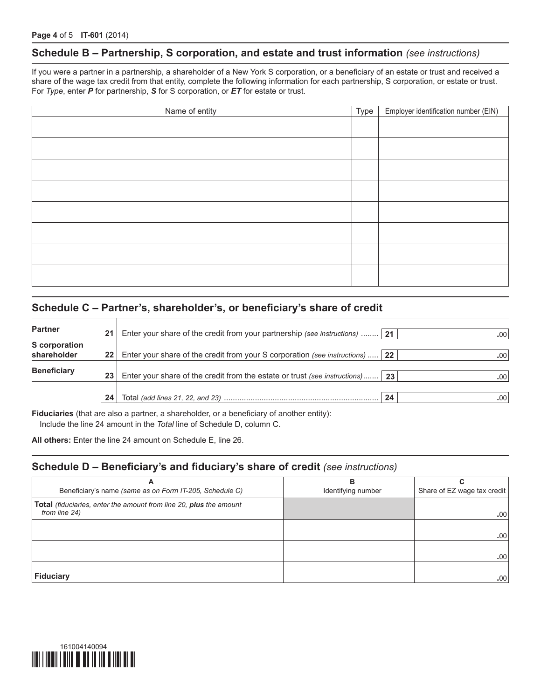### **Schedule B – Partnership, S corporation, and estate and trust information** *(see instructions)*

If you were a partner in a partnership, a shareholder of a New York S corporation, or a beneficiary of an estate or trust and received a share of the wage tax credit from that entity, complete the following information for each partnership, S corporation, or estate or trust. For *Type*, enter *P* for partnership, *S* for S corporation, or *ET* for estate or trust.

| Name of entity | Type | Employer identification number (EIN) |
|----------------|------|--------------------------------------|
|                |      |                                      |
|                |      |                                      |
|                |      |                                      |
|                |      |                                      |
|                |      |                                      |
|                |      |                                      |
|                |      |                                      |
|                |      |                                      |
|                |      |                                      |
|                |      |                                      |
|                |      |                                      |

### **Schedule C – Partner's, shareholder's, or beneficiary's share of credit**

| <b>Partner</b>                      | 21 | <b>Enter your share of the credit from your partnership (see instructions)</b> 21 |    | .00 <sub>1</sub> |
|-------------------------------------|----|-----------------------------------------------------------------------------------|----|------------------|
| <b>S</b> corporation<br>shareholder | 22 | Enter your share of the credit from your S corporation (see instructions)         | 22 | .00 <sup>1</sup> |
| <b>Beneficiary</b>                  | 23 | Enter your share of the credit from the estate or trust (see instructions)        | 23 | .00 <sup>1</sup> |
|                                     | 24 |                                                                                   | 24 | .00 <sup>1</sup> |

**Fiduciaries** (that are also a partner, a shareholder, or a beneficiary of another entity): Include the line 24 amount in the *Total* line of Schedule D, column C.

**All others:** Enter the line 24 amount on Schedule E, line 26.

### **Schedule D – Beneficiary's and fiduciary's share of credit** *(see instructions)*

| A                                                                                          | в                  |                             |
|--------------------------------------------------------------------------------------------|--------------------|-----------------------------|
| Beneficiary's name (same as on Form IT-205, Schedule C)                                    | Identifying number | Share of EZ wage tax credit |
| <b>Total</b> (fiduciaries, enter the amount from line 20, plus the amount<br>from line 24) |                    | .00.                        |
|                                                                                            |                    |                             |
|                                                                                            |                    | .00.                        |
|                                                                                            |                    |                             |
|                                                                                            |                    | .00                         |
| <b>Fiduciary</b>                                                                           |                    | .00                         |